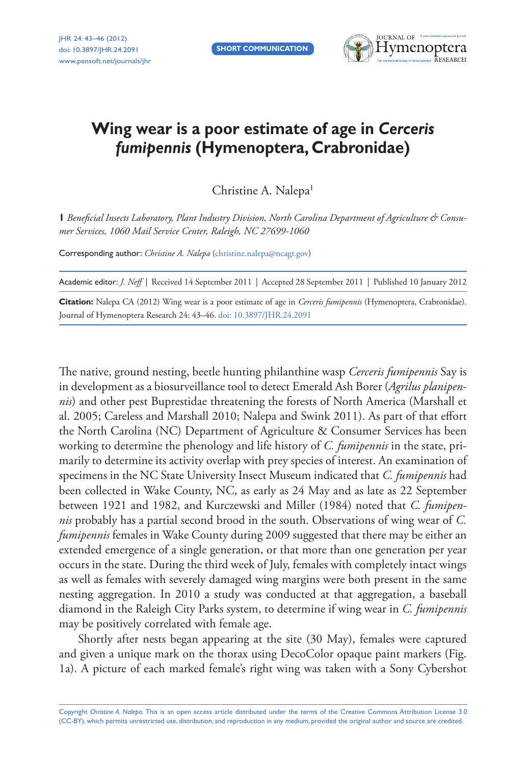**Short Communication**



## **Wing wear is a poor estimate of age in** *Cerceris fumipennis* **(Hymenoptera, Crabronidae)**

Christine A. Nalepa<sup>1</sup>

**1** Beneficial Insects Laboratory, Plant Industry Division, North Carolina Department of Agriculture & Consu*mer Services, 1060 Mail Service Center, Raleigh, NC 27699-1060*

Corresponding author: *Christine A. Nalepa* [\(christine.nalepa@ncagr.gov](mailto:christine.nalepa@ncagr.gov))

Academic editor: *J. Neff* | Received 14 September 2011 | Accepted 28 September 2011 | Published 10 January 2012

**Citation:** Nalepa CA (2012) Wing wear is a poor estimate of age in *Cerceris fumipennis* (Hymenoptera, Crabronidae). Journal of Hymenoptera Research 24: 43–46. [doi: 10.3897/JHR.24.2091](http://dx.doi.org/10.3897/JHR.24.2091)

The native, ground nesting, beetle hunting philanthine wasp *Cerceris fumipennis* Say is in development as a biosurveillance tool to detect Emerald Ash Borer (*Agrilus planipennis*) and other pest Buprestidae threatening the forests of North America (Marshall et al. 2005; Careless and Marshall 2010; Nalepa and Swink 2011). As part of that effort the North Carolina (NC) Department of Agriculture & Consumer Services has been working to determine the phenology and life history of *C. fumipennis* in the state, primarily to determine its activity overlap with prey species of interest. An examination of specimens in the NC State University Insect Museum indicated that *C. fumipennis* had been collected in Wake County, NC, as early as 24 May and as late as 22 September between 1921 and 1982, and Kurczewski and Miller (1984) noted that *C. fumipennis* probably has a partial second brood in the south. Observations of wing wear of *C. fumipennis* females in Wake County during 2009 suggested that there may be either an extended emergence of a single generation, or that more than one generation per year occurs in the state. During the third week of July, females with completely intact wings as well as females with severely damaged wing margins were both present in the same nesting aggregation. In 2010 a study was conducted at that aggregation, a baseball diamond in the Raleigh City Parks system, to determine if wing wear in *C. fumipennis* may be positively correlated with female age.

Shortly after nests began appearing at the site (30 May), females were captured and given a unique mark on the thorax using DecoColor opaque paint markers (Fig. 1a). A picture of each marked female's right wing was taken with a Sony Cybershot

Copyright *Christine A. Nalepa.* This is an open access article distributed under the terms of the [Creative Commons Attribution License 3.0](http://creativecommons.org/licenses/by/3.0/)  [\(CC-BY\),](http://creativecommons.org/licenses/by/3.0/) which permits unrestricted use, distribution, and reproduction in any medium, provided the original author and source are credited.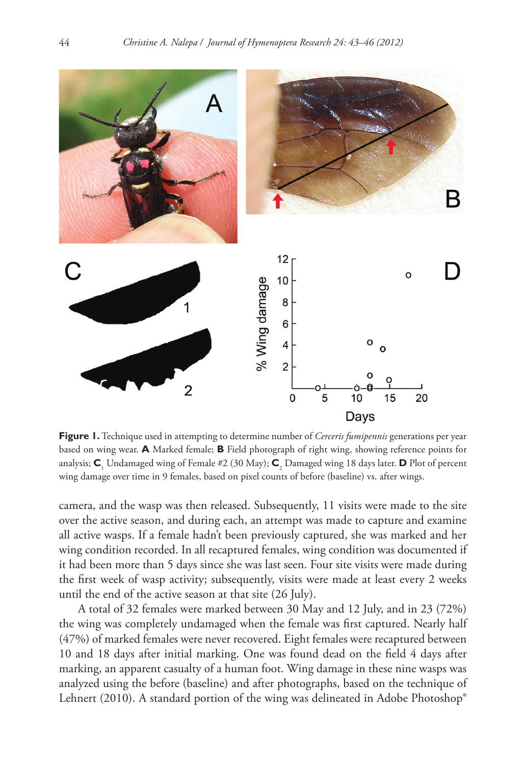

**Figure 1.** Technique used in attempting to determine number of *Cerceris fumipennis* generations per year based on wing wear. **A** Marked female; **B** Field photograph of right wing, showing reference points for analysis; **C**<sup>1</sup> Undamaged wing of Female #2 (30 May); **C**<sup>2</sup> Damaged wing 18 days later. **D** Plot of percent wing damage over time in 9 females, based on pixel counts of before (baseline) vs. after wings.

camera, and the wasp was then released. Subsequently, 11 visits were made to the site over the active season, and during each, an attempt was made to capture and examine all active wasps. If a female hadn't been previously captured, she was marked and her wing condition recorded. In all recaptured females, wing condition was documented if it had been more than 5 days since she was last seen. Four site visits were made during the first week of wasp activity; subsequently, visits were made at least every 2 weeks until the end of the active season at that site (26 July).

A total of 32 females were marked between 30 May and 12 July, and in 23 (72%) the wing was completely undamaged when the female was first captured. Nearly half (47%) of marked females were never recovered. Eight females were recaptured between 10 and 18 days after initial marking. One was found dead on the field 4 days after marking, an apparent casualty of a human foot. Wing damage in these nine wasps was analyzed using the before (baseline) and after photographs, based on the technique of Lehnert (2010). A standard portion of the wing was delineated in Adobe Photoshop®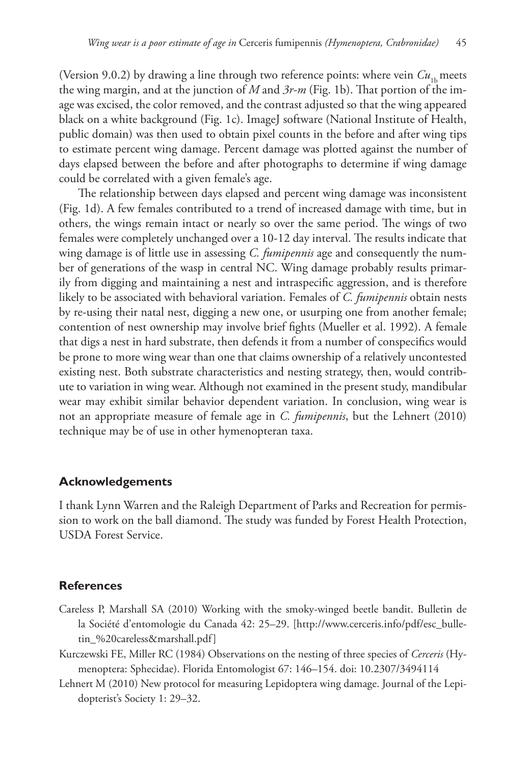(Version 9.0.2) by drawing a line through two reference points: where vein  $Cu<sub>th</sub>$  meets the wing margin, and at the junction of *M* and *3r-m* (Fig. 1b). That portion of the image was excised, the color removed, and the contrast adjusted so that the wing appeared black on a white background (Fig. 1c). ImageJ software (National Institute of Health, public domain) was then used to obtain pixel counts in the before and after wing tips to estimate percent wing damage. Percent damage was plotted against the number of days elapsed between the before and after photographs to determine if wing damage could be correlated with a given female's age.

The relationship between days elapsed and percent wing damage was inconsistent (Fig. 1d). A few females contributed to a trend of increased damage with time, but in others, the wings remain intact or nearly so over the same period. The wings of two females were completely unchanged over a 10-12 day interval. The results indicate that wing damage is of little use in assessing *C. fumipennis* age and consequently the number of generations of the wasp in central NC. Wing damage probably results primarily from digging and maintaining a nest and intraspecific aggression, and is therefore likely to be associated with behavioral variation. Females of *C. fumipennis* obtain nests by re-using their natal nest, digging a new one, or usurping one from another female; contention of nest ownership may involve brief fights (Mueller et al. 1992). A female that digs a nest in hard substrate, then defends it from a number of conspecifics would be prone to more wing wear than one that claims ownership of a relatively uncontested existing nest. Both substrate characteristics and nesting strategy, then, would contribute to variation in wing wear. Although not examined in the present study, mandibular wear may exhibit similar behavior dependent variation. In conclusion, wing wear is not an appropriate measure of female age in *C. fumipennis*, but the Lehnert (2010) technique may be of use in other hymenopteran taxa.

## **Acknowledgements**

I thank Lynn Warren and the Raleigh Department of Parks and Recreation for permission to work on the ball diamond. The study was funded by Forest Health Protection, USDA Forest Service.

## **References**

- Careless P, Marshall SA (2010) Working with the smoky-winged beetle bandit. Bulletin de la Société d'entomologie du Canada 42: 25–29. [[http://www.cerceris.info/pdf/esc\\_bulle](http://www.cerceris.info/pdf/esc_bulletin_%20careless&marshall.pdf)[tin\\_%20careless&marshall.pdf](http://www.cerceris.info/pdf/esc_bulletin_%20careless&marshall.pdf)]
- Kurczewski FE, Miller RC (1984) Observations on the nesting of three species of *Cerceris* (Hymenoptera: Sphecidae). Florida Entomologist 67: 146–154. [doi: 10.2307/3494114](http://dx.doi.org/10.2307/3494114)
- Lehnert M (2010) New protocol for measuring Lepidoptera wing damage. Journal of the Lepidopterist's Society 1: 29–32.